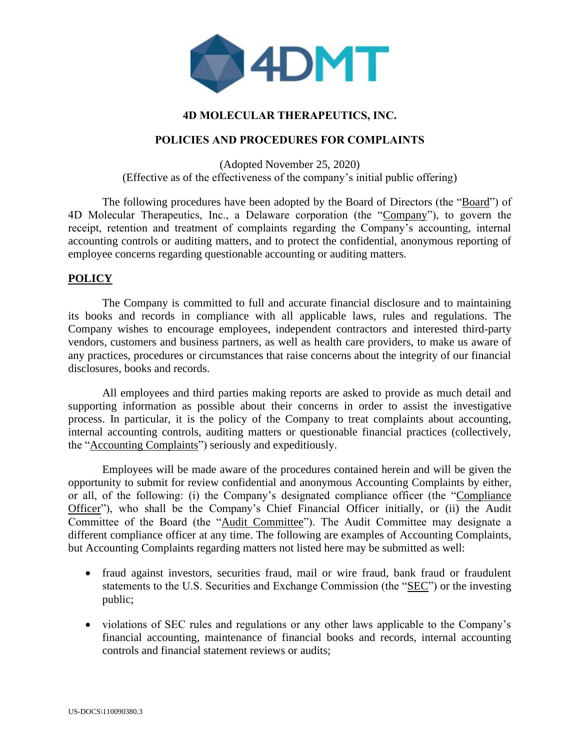

## **4D MOLECULAR THERAPEUTICS, INC.**

#### **POLICIES AND PROCEDURES FOR COMPLAINTS**

(Adopted November 25, 2020) (Effective as of the effectiveness of the company's initial public offering)

The following procedures have been adopted by the Board of Directors (the "Board") of 4D Molecular Therapeutics, Inc., a Delaware corporation (the "Company"), to govern the receipt, retention and treatment of complaints regarding the Company's accounting, internal accounting controls or auditing matters, and to protect the confidential, anonymous reporting of employee concerns regarding questionable accounting or auditing matters.

# **POLICY**

The Company is committed to full and accurate financial disclosure and to maintaining its books and records in compliance with all applicable laws, rules and regulations. The Company wishes to encourage employees, independent contractors and interested third-party vendors, customers and business partners, as well as health care providers, to make us aware of any practices, procedures or circumstances that raise concerns about the integrity of our financial disclosures, books and records.

All employees and third parties making reports are asked to provide as much detail and supporting information as possible about their concerns in order to assist the investigative process. In particular, it is the policy of the Company to treat complaints about accounting, internal accounting controls, auditing matters or questionable financial practices (collectively, the "Accounting Complaints") seriously and expeditiously.

Employees will be made aware of the procedures contained herein and will be given the opportunity to submit for review confidential and anonymous Accounting Complaints by either, or all, of the following: (i) the Company's designated compliance officer (the "Compliance Officer"), who shall be the Company's Chief Financial Officer initially, or (ii) the Audit Committee of the Board (the "Audit Committee"). The Audit Committee may designate a different compliance officer at any time. The following are examples of Accounting Complaints, but Accounting Complaints regarding matters not listed here may be submitted as well:

- fraud against investors, securities fraud, mail or wire fraud, bank fraud or fraudulent statements to the U.S. Securities and Exchange Commission (the "SEC") or the investing public;
- violations of SEC rules and regulations or any other laws applicable to the Company's financial accounting, maintenance of financial books and records, internal accounting controls and financial statement reviews or audits;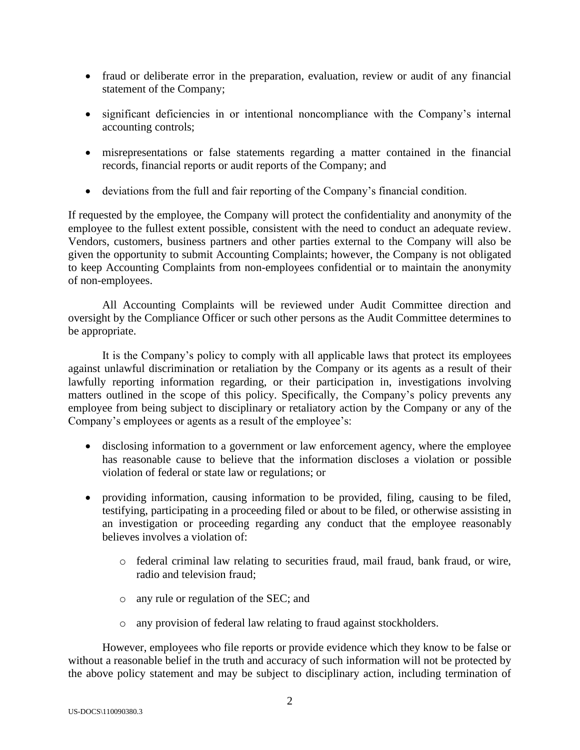- fraud or deliberate error in the preparation, evaluation, review or audit of any financial statement of the Company;
- significant deficiencies in or intentional noncompliance with the Company's internal accounting controls;
- misrepresentations or false statements regarding a matter contained in the financial records, financial reports or audit reports of the Company; and
- deviations from the full and fair reporting of the Company's financial condition.

If requested by the employee, the Company will protect the confidentiality and anonymity of the employee to the fullest extent possible, consistent with the need to conduct an adequate review. Vendors, customers, business partners and other parties external to the Company will also be given the opportunity to submit Accounting Complaints; however, the Company is not obligated to keep Accounting Complaints from non-employees confidential or to maintain the anonymity of non-employees.

All Accounting Complaints will be reviewed under Audit Committee direction and oversight by the Compliance Officer or such other persons as the Audit Committee determines to be appropriate.

It is the Company's policy to comply with all applicable laws that protect its employees against unlawful discrimination or retaliation by the Company or its agents as a result of their lawfully reporting information regarding, or their participation in, investigations involving matters outlined in the scope of this policy. Specifically, the Company's policy prevents any employee from being subject to disciplinary or retaliatory action by the Company or any of the Company's employees or agents as a result of the employee's:

- disclosing information to a government or law enforcement agency, where the employee has reasonable cause to believe that the information discloses a violation or possible violation of federal or state law or regulations; or
- providing information, causing information to be provided, filing, causing to be filed, testifying, participating in a proceeding filed or about to be filed, or otherwise assisting in an investigation or proceeding regarding any conduct that the employee reasonably believes involves a violation of:
	- o federal criminal law relating to securities fraud, mail fraud, bank fraud, or wire, radio and television fraud;
	- o any rule or regulation of the SEC; and
	- o any provision of federal law relating to fraud against stockholders.

However, employees who file reports or provide evidence which they know to be false or without a reasonable belief in the truth and accuracy of such information will not be protected by the above policy statement and may be subject to disciplinary action, including termination of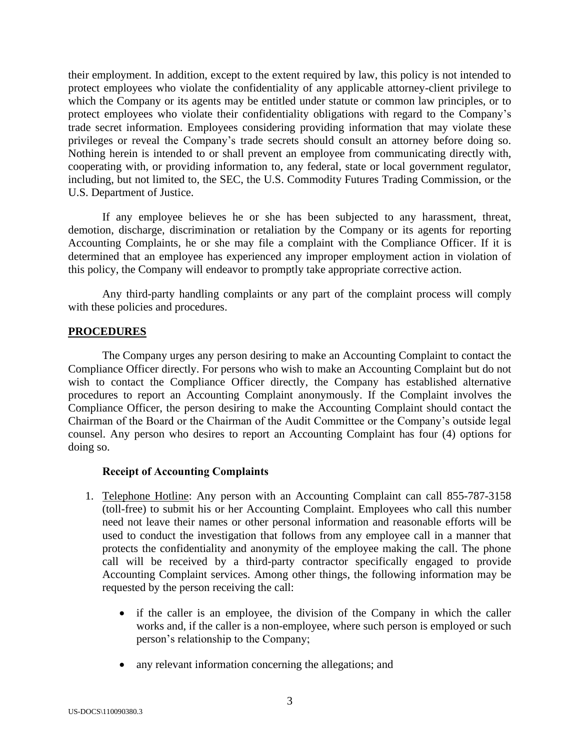their employment. In addition, except to the extent required by law, this policy is not intended to protect employees who violate the confidentiality of any applicable attorney-client privilege to which the Company or its agents may be entitled under statute or common law principles, or to protect employees who violate their confidentiality obligations with regard to the Company's trade secret information. Employees considering providing information that may violate these privileges or reveal the Company's trade secrets should consult an attorney before doing so. Nothing herein is intended to or shall prevent an employee from communicating directly with, cooperating with, or providing information to, any federal, state or local government regulator, including, but not limited to, the SEC, the U.S. Commodity Futures Trading Commission, or the U.S. Department of Justice.

If any employee believes he or she has been subjected to any harassment, threat, demotion, discharge, discrimination or retaliation by the Company or its agents for reporting Accounting Complaints, he or she may file a complaint with the Compliance Officer. If it is determined that an employee has experienced any improper employment action in violation of this policy, the Company will endeavor to promptly take appropriate corrective action.

Any third-party handling complaints or any part of the complaint process will comply with these policies and procedures.

## **PROCEDURES**

The Company urges any person desiring to make an Accounting Complaint to contact the Compliance Officer directly. For persons who wish to make an Accounting Complaint but do not wish to contact the Compliance Officer directly, the Company has established alternative procedures to report an Accounting Complaint anonymously. If the Complaint involves the Compliance Officer, the person desiring to make the Accounting Complaint should contact the Chairman of the Board or the Chairman of the Audit Committee or the Company's outside legal counsel. Any person who desires to report an Accounting Complaint has four (4) options for doing so.

## **Receipt of Accounting Complaints**

- 1. Telephone Hotline: Any person with an Accounting Complaint can call 855-787-3158 (toll-free) to submit his or her Accounting Complaint. Employees who call this number need not leave their names or other personal information and reasonable efforts will be used to conduct the investigation that follows from any employee call in a manner that protects the confidentiality and anonymity of the employee making the call. The phone call will be received by a third-party contractor specifically engaged to provide Accounting Complaint services. Among other things, the following information may be requested by the person receiving the call:
	- if the caller is an employee, the division of the Company in which the caller works and, if the caller is a non-employee, where such person is employed or such person's relationship to the Company;
	- any relevant information concerning the allegations; and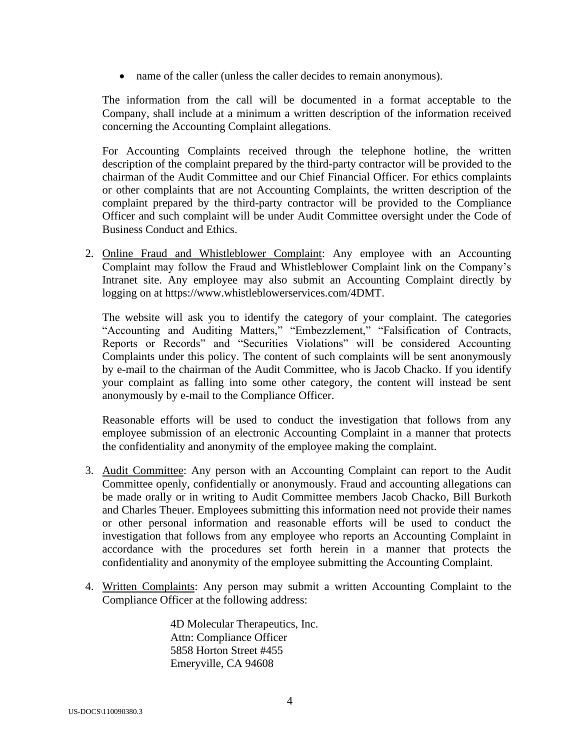• name of the caller (unless the caller decides to remain anonymous).

The information from the call will be documented in a format acceptable to the Company, shall include at a minimum a written description of the information received concerning the Accounting Complaint allegations.

For Accounting Complaints received through the telephone hotline, the written description of the complaint prepared by the third-party contractor will be provided to the chairman of the Audit Committee and our Chief Financial Officer. For ethics complaints or other complaints that are not Accounting Complaints, the written description of the complaint prepared by the third-party contractor will be provided to the Compliance Officer and such complaint will be under Audit Committee oversight under the Code of Business Conduct and Ethics.

2. Online Fraud and Whistleblower Complaint: Any employee with an Accounting Complaint may follow the Fraud and Whistleblower Complaint link on the Company's Intranet site. Any employee may also submit an Accounting Complaint directly by logging on at https://www.whistleblowerservices.com/4DMT.

The website will ask you to identify the category of your complaint. The categories "Accounting and Auditing Matters," "Embezzlement," "Falsification of Contracts, Reports or Records" and "Securities Violations" will be considered Accounting Complaints under this policy. The content of such complaints will be sent anonymously by e-mail to the chairman of the Audit Committee, who is Jacob Chacko. If you identify your complaint as falling into some other category, the content will instead be sent anonymously by e-mail to the Compliance Officer.

Reasonable efforts will be used to conduct the investigation that follows from any employee submission of an electronic Accounting Complaint in a manner that protects the confidentiality and anonymity of the employee making the complaint.

- 3. Audit Committee: Any person with an Accounting Complaint can report to the Audit Committee openly, confidentially or anonymously. Fraud and accounting allegations can be made orally or in writing to Audit Committee members Jacob Chacko, Bill Burkoth and Charles Theuer. Employees submitting this information need not provide their names or other personal information and reasonable efforts will be used to conduct the investigation that follows from any employee who reports an Accounting Complaint in accordance with the procedures set forth herein in a manner that protects the confidentiality and anonymity of the employee submitting the Accounting Complaint.
- 4. Written Complaints: Any person may submit a written Accounting Complaint to the Compliance Officer at the following address:

4D Molecular Therapeutics, Inc. Attn: Compliance Officer 5858 Horton Street #455 Emeryville, CA 94608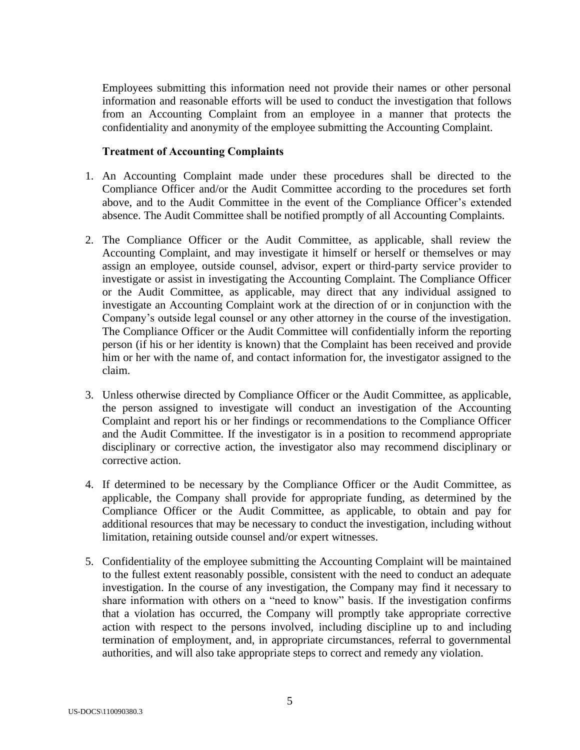Employees submitting this information need not provide their names or other personal information and reasonable efforts will be used to conduct the investigation that follows from an Accounting Complaint from an employee in a manner that protects the confidentiality and anonymity of the employee submitting the Accounting Complaint.

## **Treatment of Accounting Complaints**

- 1. An Accounting Complaint made under these procedures shall be directed to the Compliance Officer and/or the Audit Committee according to the procedures set forth above, and to the Audit Committee in the event of the Compliance Officer's extended absence. The Audit Committee shall be notified promptly of all Accounting Complaints.
- 2. The Compliance Officer or the Audit Committee, as applicable, shall review the Accounting Complaint, and may investigate it himself or herself or themselves or may assign an employee, outside counsel, advisor, expert or third-party service provider to investigate or assist in investigating the Accounting Complaint. The Compliance Officer or the Audit Committee, as applicable, may direct that any individual assigned to investigate an Accounting Complaint work at the direction of or in conjunction with the Company's outside legal counsel or any other attorney in the course of the investigation. The Compliance Officer or the Audit Committee will confidentially inform the reporting person (if his or her identity is known) that the Complaint has been received and provide him or her with the name of, and contact information for, the investigator assigned to the claim.
- 3. Unless otherwise directed by Compliance Officer or the Audit Committee, as applicable, the person assigned to investigate will conduct an investigation of the Accounting Complaint and report his or her findings or recommendations to the Compliance Officer and the Audit Committee. If the investigator is in a position to recommend appropriate disciplinary or corrective action, the investigator also may recommend disciplinary or corrective action.
- 4. If determined to be necessary by the Compliance Officer or the Audit Committee, as applicable, the Company shall provide for appropriate funding, as determined by the Compliance Officer or the Audit Committee, as applicable, to obtain and pay for additional resources that may be necessary to conduct the investigation, including without limitation, retaining outside counsel and/or expert witnesses.
- 5. Confidentiality of the employee submitting the Accounting Complaint will be maintained to the fullest extent reasonably possible, consistent with the need to conduct an adequate investigation. In the course of any investigation, the Company may find it necessary to share information with others on a "need to know" basis. If the investigation confirms that a violation has occurred, the Company will promptly take appropriate corrective action with respect to the persons involved, including discipline up to and including termination of employment, and, in appropriate circumstances, referral to governmental authorities, and will also take appropriate steps to correct and remedy any violation.